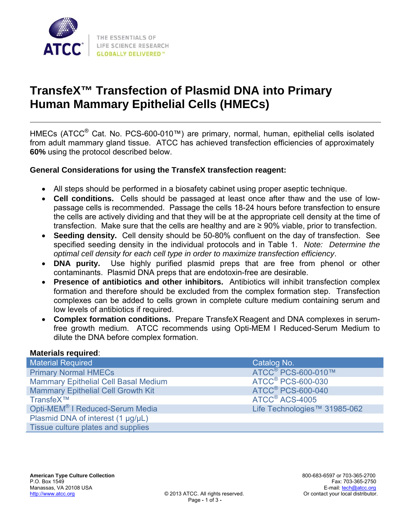

# **TransfeX™ Transfection of Plasmid DNA into Primary Human Mammary Epithelial Cells (HMECs)**

HMECs (ATCC® Cat. No. PCS-600-010™) are primary, normal, human, epithelial cells isolated from adult mammary gland tissue. ATCC has achieved transfection efficiencies of approximately **60%** using the protocol described below.

#### **General Considerations for using the TransfeX transfection reagent:**

- All steps should be performed in a biosafety cabinet using proper aseptic technique.
- **Cell conditions.** Cells should be passaged at least once after thaw and the use of lowpassage cells is recommended. Passage the cells 18-24 hours before transfection to ensure the cells are actively dividing and that they will be at the appropriate cell density at the time of transfection. Make sure that the cells are healthy and are ≥ 90% viable, prior to transfection.
- **Seeding density.** Cell density should be 50-80% confluent on the day of transfection. See specified seeding density in the individual protocols and in Table 1. *Note: Determine the optimal cell density for each cell type in order to maximize transfection efficiency*.
- **DNA purity.** Use highly purified plasmid preps that are free from phenol or other contaminants. Plasmid DNA preps that are endotoxin-free are desirable.
- **Presence of antibiotics and other inhibitors.** Antibiotics will inhibit transfection complex formation and therefore should be excluded from the complex formation step. Transfection complexes can be added to cells grown in complete culture medium containing serum and low levels of antibiotics if required.
- **Complex formation conditions.** Prepare TransfeX Reagent and DNA complexes in serumfree growth medium. ATCC recommends using Opti-MEM I Reduced-Serum Medium to dilute the DNA before complex formation.

#### **Materials required**:

| <b>Material Required</b>                    | Catalog No.                         |
|---------------------------------------------|-------------------------------------|
| <b>Primary Normal HMECs</b>                 | ATCC <sup>®</sup> PCS-600-010™      |
| <b>Mammary Epithelial Cell Basal Medium</b> | <b>ATCC<sup>®</sup> PCS-600-030</b> |
| <b>Mammary Epithelial Cell Growth Kit</b>   | <b>ATCC<sup>®</sup> PCS-600-040</b> |
| TransfeX™                                   | ATCC <sup>®</sup> ACS-4005          |
| Opti-MEM <sup>®</sup> I Reduced-Serum Media | Life Technologies™ 31985-062        |
| Plasmid DNA of interest (1 µg/µL)           |                                     |
| Tissue culture plates and supplies          |                                     |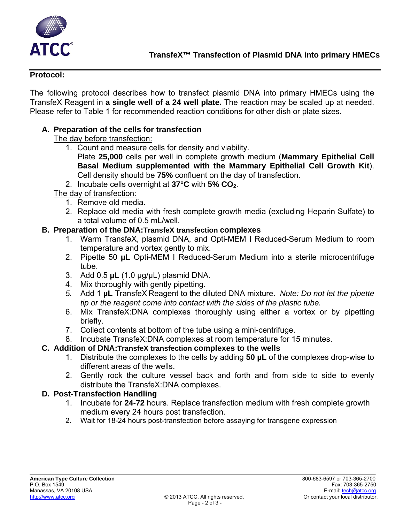

#### **Protocol:**

The following protocol describes how to transfect plasmid DNA into primary HMECs using the TransfeX Reagent in **a single well of a 24 well plate.** The reaction may be scaled up at needed. Please refer to Table 1 for recommended reaction conditions for other dish or plate sizes.

# **A. Preparation of the cells for transfection**

The day before transfection:

- 1. Count and measure cells for density and viability. Plate **25,000** cells per well in complete growth medium (**Mammary Epithelial Cell** 
	- **Basal Medium supplemented with the Mammary Epithelial Cell Growth Kit**). Cell density should be **75%** confluent on the day of transfection.
- 2. Incubate cells overnight at **37°C** with **5% CO2**.

#### The day of transfection:

- 1. Remove old media.
- 2. Replace old media with fresh complete growth media (excluding Heparin Sulfate) to a total volume of 0.5 mL/well.

#### **B. Preparation of the DNA:TransfeX transfection complexes**

- 1. Warm TransfeX, plasmid DNA, and Opti-MEM I Reduced-Serum Medium to room temperature and vortex gently to mix.
- 2. Pipette 50 **µL** Opti-MEM I Reduced-Serum Medium into a sterile microcentrifuge tube.
- 3. Add 0.5 **µL** (1.0 µg/µL) plasmid DNA.
- 4. Mix thoroughly with gently pipetting.
- *5.* Add 1 **µL** TransfeX Reagent to the diluted DNA mixture. *Note: Do not let the pipette tip or the reagent come into contact with the sides of the plastic tube.*
- 6. Mix TransfeX:DNA complexes thoroughly using either a vortex or by pipetting briefly.
- 7. Collect contents at bottom of the tube using a mini-centrifuge.
- 8. Incubate TransfeX:DNA complexes at room temperature for 15 minutes.

# **C. Addition of DNA:TransfeX transfection complexes to the wells**

- 1. Distribute the complexes to the cells by adding **50 µL** of the complexes drop-wise to different areas of the wells.
- 2. Gently rock the culture vessel back and forth and from side to side to evenly distribute the TransfeX:DNA complexes.

# **D. Post-Transfection Handling**

- 1. Incubate for **24-72** hours. Replace transfection medium with fresh complete growth medium every 24 hours post transfection.
- 2. Wait for 18-24 hours post-transfection before assaying for transgene expression